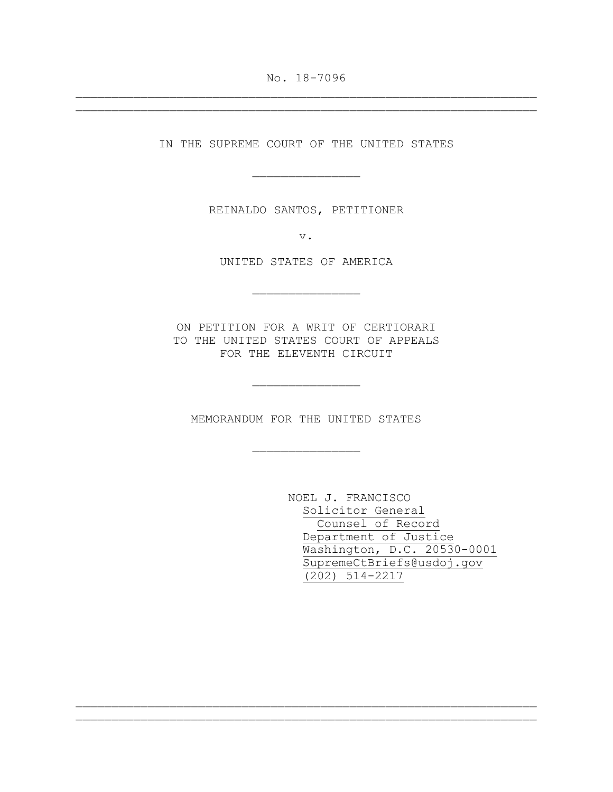No. 18-7096 \_\_\_\_\_\_\_\_\_\_\_\_\_\_\_\_\_\_\_\_\_\_\_\_\_\_\_\_\_\_\_\_\_\_\_\_\_\_\_\_\_\_\_\_\_\_\_\_\_\_\_\_\_\_\_\_\_\_\_\_\_\_\_\_

\_\_\_\_\_\_\_\_\_\_\_\_\_\_\_\_\_\_\_\_\_\_\_\_\_\_\_\_\_\_\_\_\_\_\_\_\_\_\_\_\_\_\_\_\_\_\_\_\_\_\_\_\_\_\_\_\_\_\_\_\_\_\_\_

IN THE SUPREME COURT OF THE UNITED STATES

\_\_\_\_\_\_\_\_\_\_\_\_\_\_\_

REINALDO SANTOS, PETITIONER

v.

UNITED STATES OF AMERICA

\_\_\_\_\_\_\_\_\_\_\_\_\_\_\_

ON PETITION FOR A WRIT OF CERTIORARI TO THE UNITED STATES COURT OF APPEALS FOR THE ELEVENTH CIRCUIT

MEMORANDUM FOR THE UNITED STATES

\_\_\_\_\_\_\_\_\_\_\_\_\_\_\_

\_\_\_\_\_\_\_\_\_\_\_\_\_\_\_

\_\_\_\_\_\_\_\_\_\_\_\_\_\_\_\_\_\_\_\_\_\_\_\_\_\_\_\_\_\_\_\_\_\_\_\_\_\_\_\_\_\_\_\_\_\_\_\_\_\_\_\_\_\_\_\_\_\_\_\_\_\_\_\_ \_\_\_\_\_\_\_\_\_\_\_\_\_\_\_\_\_\_\_\_\_\_\_\_\_\_\_\_\_\_\_\_\_\_\_\_\_\_\_\_\_\_\_\_\_\_\_\_\_\_\_\_\_\_\_\_\_\_\_\_\_\_\_\_

NOEL J. FRANCISCO Solicitor General Counsel of Record Department of Justice Washington, D.C. 20530-0001 SupremeCtBriefs@usdoj.gov (202) 514-2217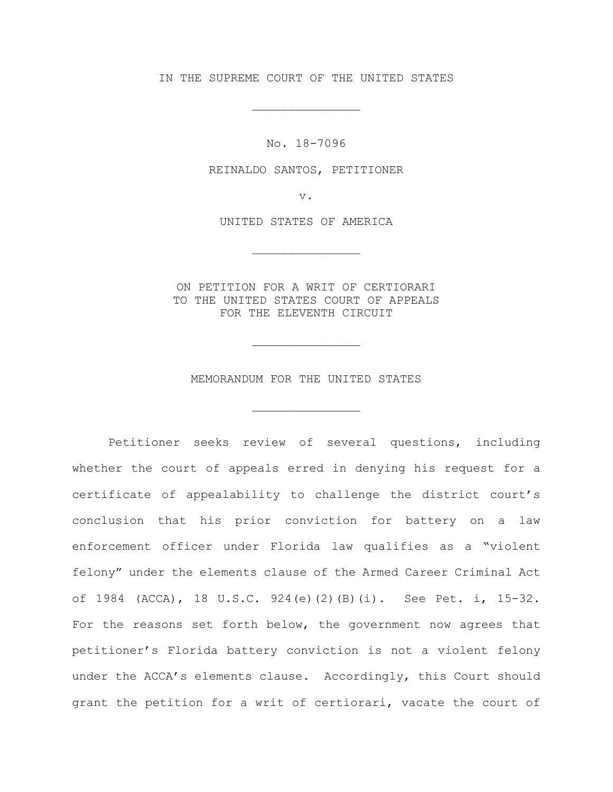IN THE SUPREME COURT OF THE UNITED STATES

\_\_\_\_\_\_\_\_\_\_\_\_\_\_\_

No. 18-7096

REINALDO SANTOS, PETITIONER

v.

UNITED STATES OF AMERICA

\_\_\_\_\_\_\_\_\_\_\_\_\_\_\_

ON PETITION FOR A WRIT OF CERTIORARI TO THE UNITED STATES COURT OF APPEALS FOR THE ELEVENTH CIRCUIT

MEMORANDUM FOR THE UNITED STATES

\_\_\_\_\_\_\_\_\_\_\_\_\_\_\_

\_\_\_\_\_\_\_\_\_\_\_\_\_\_\_

Petitioner seeks review of several questions, including whether the court of appeals erred in denying his request for a certificate of appealability to challenge the district court's conclusion that his prior conviction for battery on a law enforcement officer under Florida law qualifies as a "violent felony" under the elements clause of the Armed Career Criminal Act of 1984 (ACCA), 18 U.S.C. 924(e)(2)(B)(i). See Pet. i, 15-32. For the reasons set forth below, the government now agrees that petitioner's Florida battery conviction is not a violent felony under the ACCA's elements clause. Accordingly, this Court should grant the petition for a writ of certiorari, vacate the court of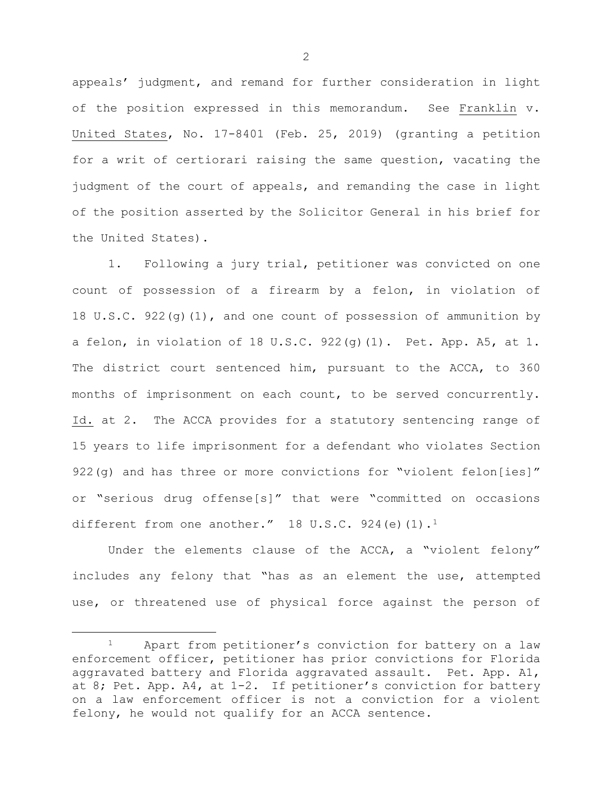appeals' judgment, and remand for further consideration in light of the position expressed in this memorandum. See Franklin v. United States, No. 17-8401 (Feb. 25, 2019) (granting a petition for a writ of certiorari raising the same question, vacating the judgment of the court of appeals, and remanding the case in light of the position asserted by the Solicitor General in his brief for the United States).

1. Following a jury trial, petitioner was convicted on one count of possession of a firearm by a felon, in violation of 18 U.S.C. 922(g)(1), and one count of possession of ammunition by a felon, in violation of 18 U.S.C. 922(q)(1). Pet. App. A5, at 1. The district court sentenced him, pursuant to the ACCA, to 360 months of imprisonment on each count, to be served concurrently. Id. at 2. The ACCA provides for a statutory sentencing range of 15 years to life imprisonment for a defendant who violates Section 922(g) and has three or more convictions for "violent felon[ies]" or "serious drug offense[s]" that were "committed on occasions different from one another." 18 U.S.C. 924(e)(1).<sup>1</sup>

Under the elements clause of the ACCA, a "violent felony" includes any felony that "has as an element the use, attempted use, or threatened use of physical force against the person of

<span id="page-2-0"></span> <sup>1</sup> Apart from petitioner's conviction for battery on a law enforcement officer, petitioner has prior convictions for Florida aggravated battery and Florida aggravated assault. Pet. App. A1, at 8; Pet. App. A4, at 1-2. If petitioner's conviction for battery on a law enforcement officer is not a conviction for a violent felony, he would not qualify for an ACCA sentence.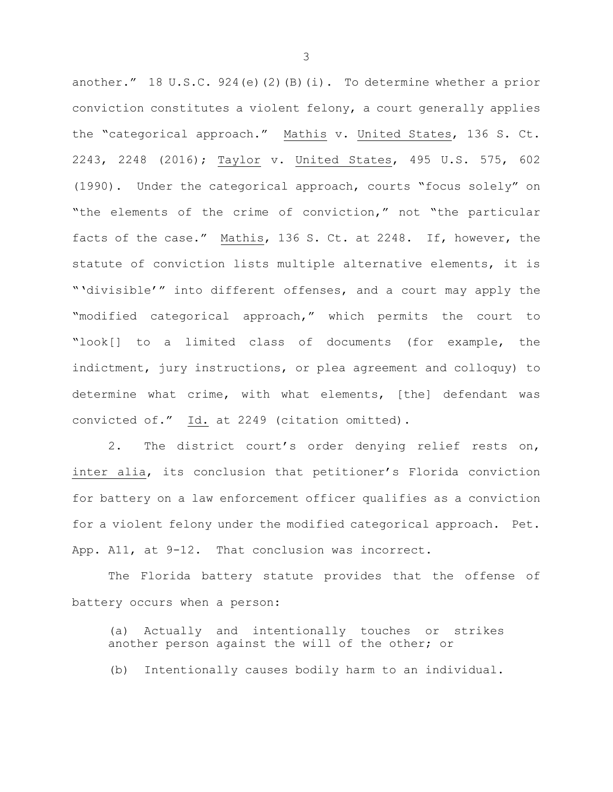another." 18 U.S.C. 924(e)(2)(B)(i). To determine whether a prior conviction constitutes a violent felony, a court generally applies the "categorical approach." Mathis v. United States, 136 S. Ct. 2243, 2248 (2016); Taylor v. United States, 495 U.S. 575, 602 (1990). Under the categorical approach, courts "focus solely" on "the elements of the crime of conviction," not "the particular facts of the case." Mathis, 136 S. Ct. at 2248. If, however, the statute of conviction lists multiple alternative elements, it is "'divisible'" into different offenses, and a court may apply the "modified categorical approach," which permits the court to "look[] to a limited class of documents (for example, the indictment, jury instructions, or plea agreement and colloquy) to determine what crime, with what elements, [the] defendant was convicted of." Id. at 2249 (citation omitted).

2. The district court's order denying relief rests on, inter alia, its conclusion that petitioner's Florida conviction for battery on a law enforcement officer qualifies as a conviction for a violent felony under the modified categorical approach. Pet. App. A11, at 9-12. That conclusion was incorrect.

The Florida battery statute provides that the offense of battery occurs when a person:

(a) Actually and intentionally touches or strikes another person against the will of the other; or

(b) Intentionally causes bodily harm to an individual.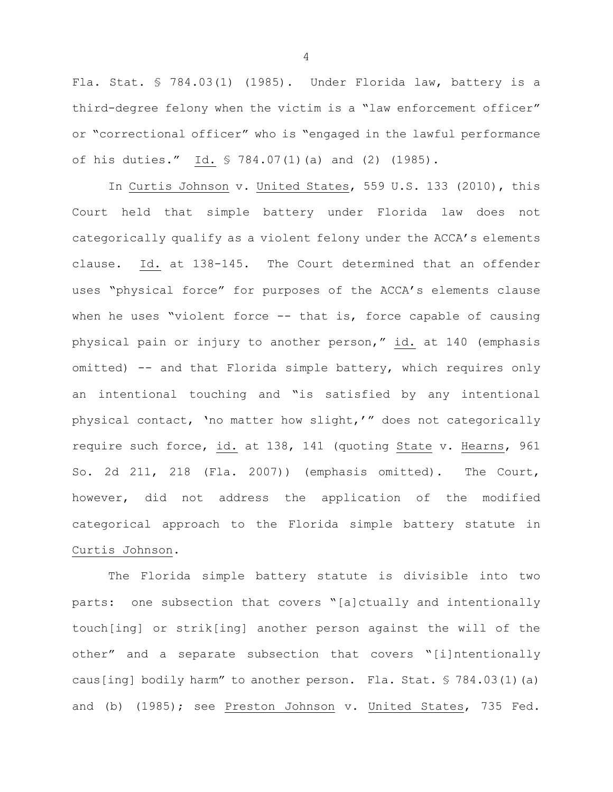Fla. Stat. § 784.03(1) (1985). Under Florida law, battery is a third-degree felony when the victim is a "law enforcement officer" or "correctional officer" who is "engaged in the lawful performance of his duties." Id. § 784.07(1)(a) and (2) (1985).

In Curtis Johnson v. United States, 559 U.S. 133 (2010), this Court held that simple battery under Florida law does not categorically qualify as a violent felony under the ACCA's elements clause. Id. at 138-145. The Court determined that an offender uses "physical force" for purposes of the ACCA's elements clause when he uses "violent force -- that is, force capable of causing physical pain or injury to another person," id. at 140 (emphasis omitted) -- and that Florida simple battery, which requires only an intentional touching and "is satisfied by any intentional physical contact, 'no matter how slight,'" does not categorically require such force, id. at 138, 141 (quoting State v. Hearns, 961 So. 2d 211, 218 (Fla. 2007)) (emphasis omitted). The Court, however, did not address the application of the modified categorical approach to the Florida simple battery statute in Curtis Johnson.

The Florida simple battery statute is divisible into two parts: one subsection that covers "[a]ctually and intentionally touch[ing] or strik[ing] another person against the will of the other" and a separate subsection that covers "[i]ntentionally caus[ing] bodily harm" to another person. Fla. Stat. § 784.03(1)(a) and (b) (1985); see Preston Johnson v. United States, 735 Fed.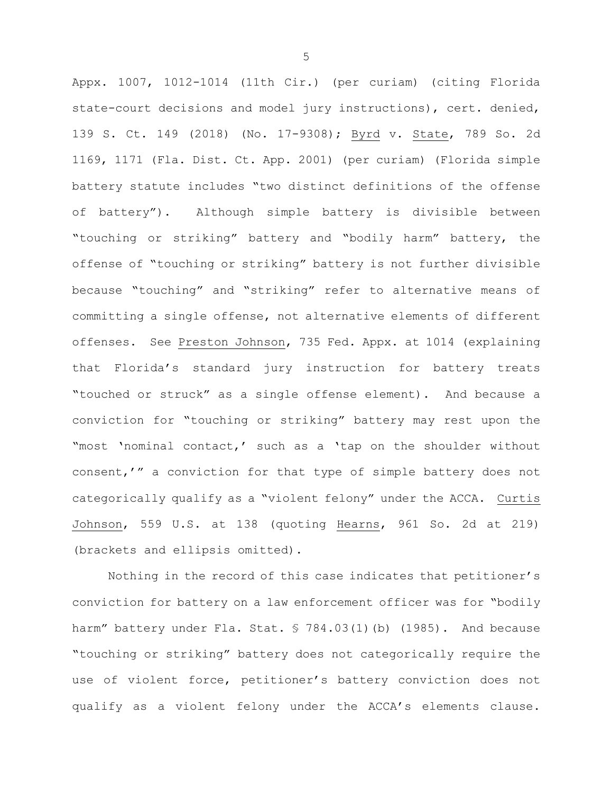Appx. 1007, 1012-1014 (11th Cir.) (per curiam) (citing Florida state-court decisions and model jury instructions), cert. denied, 139 S. Ct. 149 (2018) (No. 17-9308); Byrd v. State, 789 So. 2d 1169, 1171 (Fla. Dist. Ct. App. 2001) (per curiam) (Florida simple battery statute includes "two distinct definitions of the offense of battery"). Although simple battery is divisible between "touching or striking" battery and "bodily harm" battery, the offense of "touching or striking" battery is not further divisible because "touching" and "striking" refer to alternative means of committing a single offense, not alternative elements of different offenses. See Preston Johnson, 735 Fed. Appx. at 1014 (explaining that Florida's standard jury instruction for battery treats "touched or struck" as a single offense element). And because a conviction for "touching or striking" battery may rest upon the "most 'nominal contact,' such as a 'tap on the shoulder without consent,'" a conviction for that type of simple battery does not categorically qualify as a "violent felony" under the ACCA. Curtis Johnson, 559 U.S. at 138 (quoting Hearns, 961 So. 2d at 219) (brackets and ellipsis omitted).

Nothing in the record of this case indicates that petitioner's conviction for battery on a law enforcement officer was for "bodily harm" battery under Fla. Stat. § 784.03(1)(b) (1985). And because "touching or striking" battery does not categorically require the use of violent force, petitioner's battery conviction does not qualify as a violent felony under the ACCA's elements clause.